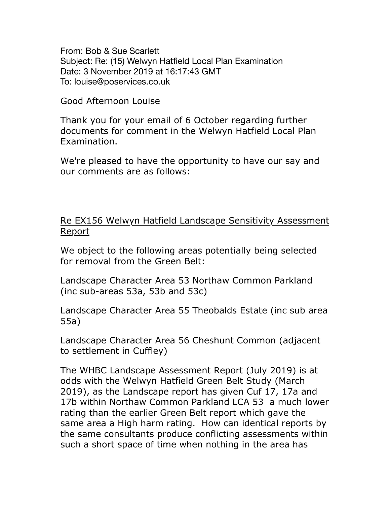From: Bob & Sue Scarlett Subject: Re: (15) Welwyn Hatfield Local Plan Examination Date: 3 November 2019 at 16:17:43 GMT To: louise@poservices.co.uk

Good Afternoon Louise

Thank you for your email of 6 October regarding further documents for comment in the Welwyn Hatfield Local Plan Examination.

We're pleased to have the opportunity to have our say and our comments are as follows:

## Re EX156 Welwyn Hatfield Landscape Sensitivity Assessment Report

We object to the following areas potentially being selected for removal from the Green Belt:

Landscape Character Area 53 Northaw Common Parkland (inc sub-areas 53a, 53b and 53c)

Landscape Character Area 55 Theobalds Estate (inc sub area 55a)

Landscape Character Area 56 Cheshunt Common (adjacent to settlement in Cuffley)

The WHBC Landscape Assessment Report (July 2019) is at odds with the Welwyn Hatfield Green Belt Study (March 2019), as the Landscape report has given Cuf 17, 17a and 17b within Northaw Common Parkland LCA 53 a much lower rating than the earlier Green Belt report which gave the same area a High harm rating. How can identical reports by the same consultants produce conflicting assessments within such a short space of time when nothing in the area has